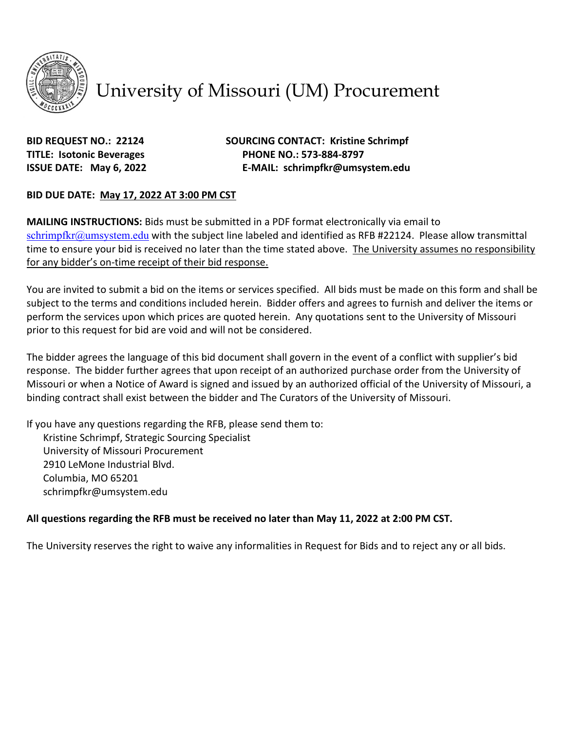

# University of Missouri (UM) Procurement

**BID REQUEST NO.: 22124 SOURCING CONTACT: Kristine Schrimpf TITLE: Isotonic Beverages PHONE NO.: 573-884-8797 ISSUE DATE: May 6, 2022 E-MAIL: schrimpfkr@umsystem.edu**

#### **BID DUE DATE: May 17, 2022 AT 3:00 PM CST**

**MAILING INSTRUCTIONS:** Bids must be submitted in a PDF format electronically via email to [schrimpfkr@umsystem.edu](mailto:schrimpfkr@umsystem.edu) with the subject line labeled and identified as RFB #22124. Please allow transmittal time to ensure your bid is received no later than the time stated above. The University assumes no responsibility for any bidder's on-time receipt of their bid response.

You are invited to submit a bid on the items or services specified. All bids must be made on this form and shall be subject to the terms and conditions included herein. Bidder offers and agrees to furnish and deliver the items or perform the services upon which prices are quoted herein. Any quotations sent to the University of Missouri prior to this request for bid are void and will not be considered.

The bidder agrees the language of this bid document shall govern in the event of a conflict with supplier's bid response. The bidder further agrees that upon receipt of an authorized purchase order from the University of Missouri or when a Notice of Award is signed and issued by an authorized official of the University of Missouri, a binding contract shall exist between the bidder and The Curators of the University of Missouri.

If you have any questions regarding the RFB, please send them to:

Kristine Schrimpf, Strategic Sourcing Specialist University of Missouri Procurement 2910 LeMone Industrial Blvd. Columbia, MO 65201 schrimpfkr@umsystem.edu

### **All questions regarding the RFB must be received no later than May 11, 2022 at 2:00 PM CST.**

The University reserves the right to waive any informalities in Request for Bids and to reject any or all bids.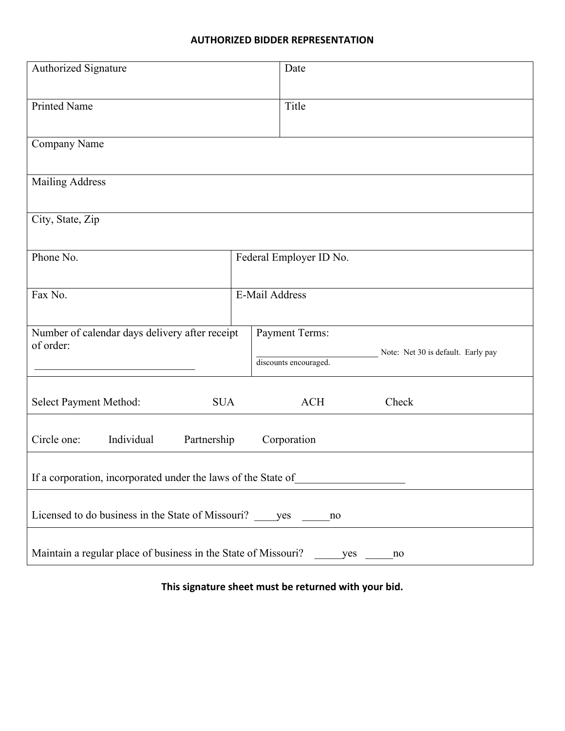#### **AUTHORIZED BIDDER REPRESENTATION**

| Authorized Signature                                                        | Date                                           |            |                                    |  |  |  |
|-----------------------------------------------------------------------------|------------------------------------------------|------------|------------------------------------|--|--|--|
| <b>Printed Name</b>                                                         | Title                                          |            |                                    |  |  |  |
| Company Name                                                                |                                                |            |                                    |  |  |  |
|                                                                             |                                                |            |                                    |  |  |  |
| <b>Mailing Address</b>                                                      |                                                |            |                                    |  |  |  |
| City, State, Zip                                                            |                                                |            |                                    |  |  |  |
| Phone No.                                                                   | Federal Employer ID No.                        |            |                                    |  |  |  |
| Fax No.                                                                     | E-Mail Address                                 |            |                                    |  |  |  |
| Number of calendar days delivery after receipt<br>of order:                 | <b>Payment Terms:</b><br>discounts encouraged. |            | Note: Net 30 is default. Early pay |  |  |  |
| Select Payment Method:<br><b>SUA</b>                                        |                                                | <b>ACH</b> | Check                              |  |  |  |
| Circle one:<br>Individual<br>Partnership<br>Corporation                     |                                                |            |                                    |  |  |  |
| If a corporation, incorporated under the laws of the State of               |                                                |            |                                    |  |  |  |
| Licensed to do business in the State of Missouri? yes<br>no                 |                                                |            |                                    |  |  |  |
| Maintain a regular place of business in the State of Missouri?<br>yes<br>no |                                                |            |                                    |  |  |  |

**This signature sheet must be returned with your bid.**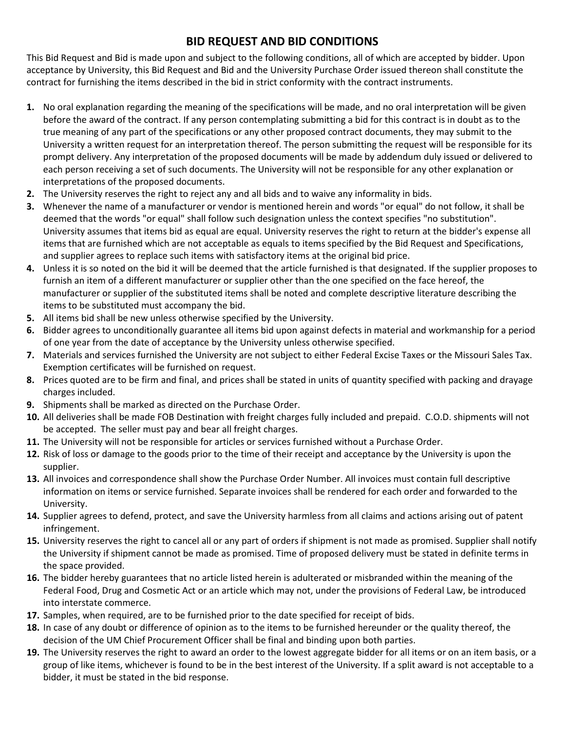# **BID REQUEST AND BID CONDITIONS**

This Bid Request and Bid is made upon and subject to the following conditions, all of which are accepted by bidder. Upon acceptance by University, this Bid Request and Bid and the University Purchase Order issued thereon shall constitute the contract for furnishing the items described in the bid in strict conformity with the contract instruments.

- **1.** No oral explanation regarding the meaning of the specifications will be made, and no oral interpretation will be given before the award of the contract. If any person contemplating submitting a bid for this contract is in doubt as to the true meaning of any part of the specifications or any other proposed contract documents, they may submit to the University a written request for an interpretation thereof. The person submitting the request will be responsible for its prompt delivery. Any interpretation of the proposed documents will be made by addendum duly issued or delivered to each person receiving a set of such documents. The University will not be responsible for any other explanation or interpretations of the proposed documents.
- **2.** The University reserves the right to reject any and all bids and to waive any informality in bids.
- **3.** Whenever the name of a manufacturer or vendor is mentioned herein and words "or equal" do not follow, it shall be deemed that the words "or equal" shall follow such designation unless the context specifies "no substitution". University assumes that items bid as equal are equal. University reserves the right to return at the bidder's expense all items that are furnished which are not acceptable as equals to items specified by the Bid Request and Specifications, and supplier agrees to replace such items with satisfactory items at the original bid price.
- **4.** Unless it is so noted on the bid it will be deemed that the article furnished is that designated. If the supplier proposes to furnish an item of a different manufacturer or supplier other than the one specified on the face hereof, the manufacturer or supplier of the substituted items shall be noted and complete descriptive literature describing the items to be substituted must accompany the bid.
- **5.** All items bid shall be new unless otherwise specified by the University.
- **6.** Bidder agrees to unconditionally guarantee all items bid upon against defects in material and workmanship for a period of one year from the date of acceptance by the University unless otherwise specified.
- **7.** Materials and services furnished the University are not subject to either Federal Excise Taxes or the Missouri Sales Tax. Exemption certificates will be furnished on request.
- **8.** Prices quoted are to be firm and final, and prices shall be stated in units of quantity specified with packing and drayage charges included.
- **9.** Shipments shall be marked as directed on the Purchase Order.
- **10.** All deliveries shall be made FOB Destination with freight charges fully included and prepaid. C.O.D. shipments will not be accepted. The seller must pay and bear all freight charges.
- **11.** The University will not be responsible for articles or services furnished without a Purchase Order.
- **12.** Risk of loss or damage to the goods prior to the time of their receipt and acceptance by the University is upon the supplier.
- **13.** All invoices and correspondence shall show the Purchase Order Number. All invoices must contain full descriptive information on items or service furnished. Separate invoices shall be rendered for each order and forwarded to the University.
- **14.** Supplier agrees to defend, protect, and save the University harmless from all claims and actions arising out of patent infringement.
- **15.** University reserves the right to cancel all or any part of orders if shipment is not made as promised. Supplier shall notify the University if shipment cannot be made as promised. Time of proposed delivery must be stated in definite terms in the space provided.
- **16.** The bidder hereby guarantees that no article listed herein is adulterated or misbranded within the meaning of the Federal Food, Drug and Cosmetic Act or an article which may not, under the provisions of Federal Law, be introduced into interstate commerce.
- **17.** Samples, when required, are to be furnished prior to the date specified for receipt of bids.
- **18.** In case of any doubt or difference of opinion as to the items to be furnished hereunder or the quality thereof, the decision of the UM Chief Procurement Officer shall be final and binding upon both parties.
- **19.** The University reserves the right to award an order to the lowest aggregate bidder for all items or on an item basis, or a group of like items, whichever is found to be in the best interest of the University. If a split award is not acceptable to a bidder, it must be stated in the bid response.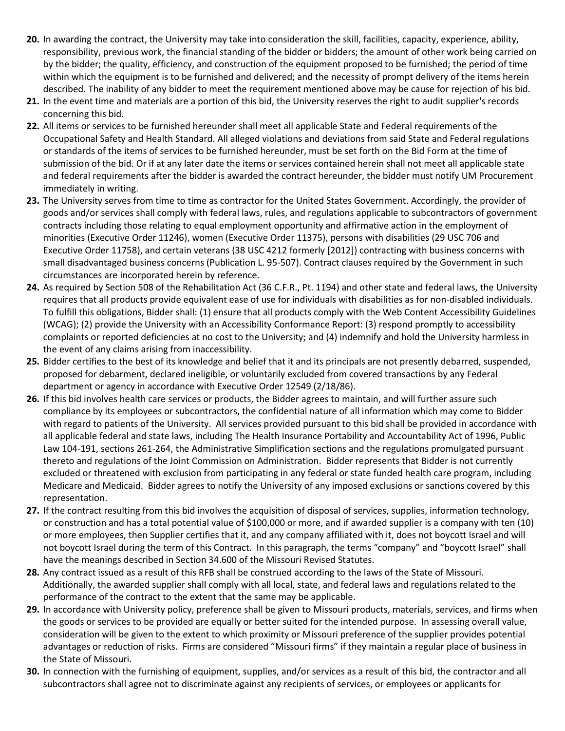- **20.** In awarding the contract, the University may take into consideration the skill, facilities, capacity, experience, ability, responsibility, previous work, the financial standing of the bidder or bidders; the amount of other work being carried on by the bidder; the quality, efficiency, and construction of the equipment proposed to be furnished; the period of time within which the equipment is to be furnished and delivered; and the necessity of prompt delivery of the items herein described. The inability of any bidder to meet the requirement mentioned above may be cause for rejection of his bid.
- **21.** In the event time and materials are a portion of this bid, the University reserves the right to audit supplier's records concerning this bid.
- **22.** All items or services to be furnished hereunder shall meet all applicable State and Federal requirements of the Occupational Safety and Health Standard. All alleged violations and deviations from said State and Federal regulations or standards of the items of services to be furnished hereunder, must be set forth on the Bid Form at the time of submission of the bid. Or if at any later date the items or services contained herein shall not meet all applicable state and federal requirements after the bidder is awarded the contract hereunder, the bidder must notify UM Procurement immediately in writing.
- **23.** The University serves from time to time as contractor for the United States Government. Accordingly, the provider of goods and/or services shall comply with federal laws, rules, and regulations applicable to subcontractors of government contracts including those relating to equal employment opportunity and affirmative action in the employment of minorities (Executive Order 11246), women (Executive Order 11375), persons with disabilities (29 USC 706 and Executive Order 11758), and certain veterans (38 USC 4212 formerly [2012]) contracting with business concerns with small disadvantaged business concerns (Publication L. 95-507). Contract clauses required by the Government in such circumstances are incorporated herein by reference.
- **24.** As required by Section 508 of the Rehabilitation Act (36 C.F.R., Pt. 1194) and other state and federal laws, the University requires that all products provide equivalent ease of use for individuals with disabilities as for non-disabled individuals. To fulfill this obligations, Bidder shall: (1) ensure that all products comply with the Web Content Accessibility Guidelines (WCAG); (2) provide the University with an Accessibility Conformance Report: (3) respond promptly to accessibility complaints or reported deficiencies at no cost to the University; and (4) indemnify and hold the University harmless in the event of any claims arising from inaccessibility.
- **25.** Bidder certifies to the best of its knowledge and belief that it and its principals are not presently debarred, suspended, proposed for debarment, declared ineligible, or voluntarily excluded from covered transactions by any Federal department or agency in accordance with Executive Order 12549 (2/18/86).
- **26.** If this bid involves health care services or products, the Bidder agrees to maintain, and will further assure such compliance by its employees or subcontractors, the confidential nature of all information which may come to Bidder with regard to patients of the University. All services provided pursuant to this bid shall be provided in accordance with all applicable federal and state laws, including The Health Insurance Portability and Accountability Act of 1996, Public Law 104-191, sections 261-264, the Administrative Simplification sections and the regulations promulgated pursuant thereto and regulations of the Joint Commission on Administration. Bidder represents that Bidder is not currently excluded or threatened with exclusion from participating in any federal or state funded health care program, including Medicare and Medicaid. Bidder agrees to notify the University of any imposed exclusions or sanctions covered by this representation.
- **27.** If the contract resulting from this bid involves the acquisition of disposal of services, supplies, information technology, or construction and has a total potential value of \$100,000 or more, and if awarded supplier is a company with ten (10) or more employees, then Supplier certifies that it, and any company affiliated with it, does not boycott Israel and will not boycott Israel during the term of this Contract. In this paragraph, the terms "company" and "boycott Israel" shall have the meanings described in Section 34.600 of the Missouri Revised Statutes.
- **28.** Any contract issued as a result of this RFB shall be construed according to the laws of the State of Missouri. Additionally, the awarded supplier shall comply with all local, state, and federal laws and regulations related to the performance of the contract to the extent that the same may be applicable.
- **29.** In accordance with University policy, preference shall be given to Missouri products, materials, services, and firms when the goods or services to be provided are equally or better suited for the intended purpose. In assessing overall value, consideration will be given to the extent to which proximity or Missouri preference of the supplier provides potential advantages or reduction of risks. Firms are considered "Missouri firms" if they maintain a regular place of business in the State of Missouri.
- **30.** In connection with the furnishing of equipment, supplies, and/or services as a result of this bid, the contractor and all subcontractors shall agree not to discriminate against any recipients of services, or employees or applicants for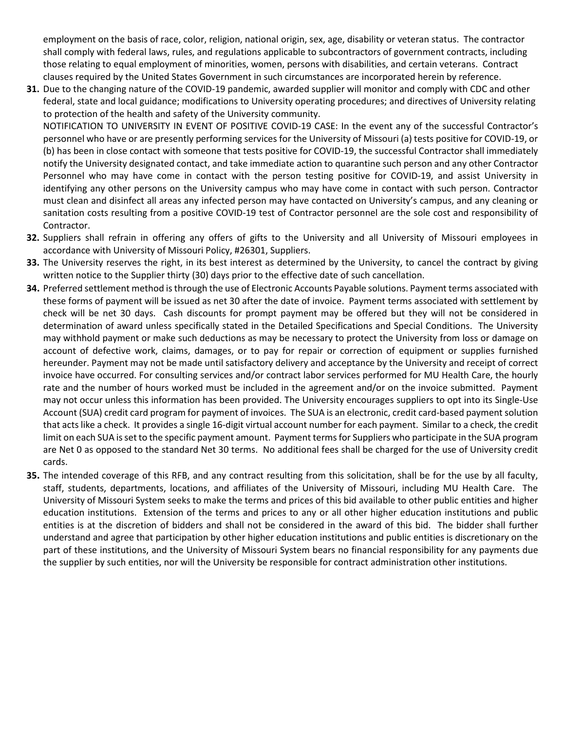employment on the basis of race, color, religion, national origin, sex, age, disability or veteran status. The contractor shall comply with federal laws, rules, and regulations applicable to subcontractors of government contracts, including those relating to equal employment of minorities, women, persons with disabilities, and certain veterans. Contract clauses required by the United States Government in such circumstances are incorporated herein by reference.

**31.** Due to the changing nature of the COVID-19 pandemic, awarded supplier will monitor and comply with CDC and other federal, state and local guidance; modifications to University operating procedures; and directives of University relating to protection of the health and safety of the University community.

NOTIFICATION TO UNIVERSITY IN EVENT OF POSITIVE COVID-19 CASE: In the event any of the successful Contractor's personnel who have or are presently performing services for the University of Missouri (a) tests positive for COVID-19, or (b) has been in close contact with someone that tests positive for COVID-19, the successful Contractor shall immediately notify the University designated contact, and take immediate action to quarantine such person and any other Contractor Personnel who may have come in contact with the person testing positive for COVID-19, and assist University in identifying any other persons on the University campus who may have come in contact with such person. Contractor must clean and disinfect all areas any infected person may have contacted on University's campus, and any cleaning or sanitation costs resulting from a positive COVID-19 test of Contractor personnel are the sole cost and responsibility of Contractor.

- **32.** Suppliers shall refrain in offering any offers of gifts to the University and all University of Missouri employees in accordance with University of Missouri Policy, #26301, Suppliers.
- **33.** The University reserves the right, in its best interest as determined by the University, to cancel the contract by giving written notice to the Supplier thirty (30) days prior to the effective date of such cancellation.
- **34.** Preferred settlement method is through the use of Electronic Accounts Payable solutions. Payment terms associated with these forms of payment will be issued as net 30 after the date of invoice. Payment terms associated with settlement by check will be net 30 days. Cash discounts for prompt payment may be offered but they will not be considered in determination of award unless specifically stated in the Detailed Specifications and Special Conditions. The University may withhold payment or make such deductions as may be necessary to protect the University from loss or damage on account of defective work, claims, damages, or to pay for repair or correction of equipment or supplies furnished hereunder. Payment may not be made until satisfactory delivery and acceptance by the University and receipt of correct invoice have occurred. For consulting services and/or contract labor services performed for MU Health Care, the hourly rate and the number of hours worked must be included in the agreement and/or on the invoice submitted. Payment may not occur unless this information has been provided. The University encourages suppliers to opt into its Single-Use Account (SUA) credit card program for payment of invoices. The SUA is an electronic, credit card-based payment solution that acts like a check. It provides a single 16-digit virtual account number for each payment. Similar to a check, the credit limit on each SUA is set to the specific payment amount. Payment terms for Suppliers who participate in the SUA program are Net 0 as opposed to the standard Net 30 terms. No additional fees shall be charged for the use of University credit cards.
- **35.** The intended coverage of this RFB, and any contract resulting from this solicitation, shall be for the use by all faculty, staff, students, departments, locations, and affiliates of the University of Missouri, including MU Health Care. The University of Missouri System seeks to make the terms and prices of this bid available to other public entities and higher education institutions. Extension of the terms and prices to any or all other higher education institutions and public entities is at the discretion of bidders and shall not be considered in the award of this bid. The bidder shall further understand and agree that participation by other higher education institutions and public entities is discretionary on the part of these institutions, and the University of Missouri System bears no financial responsibility for any payments due the supplier by such entities, nor will the University be responsible for contract administration other institutions.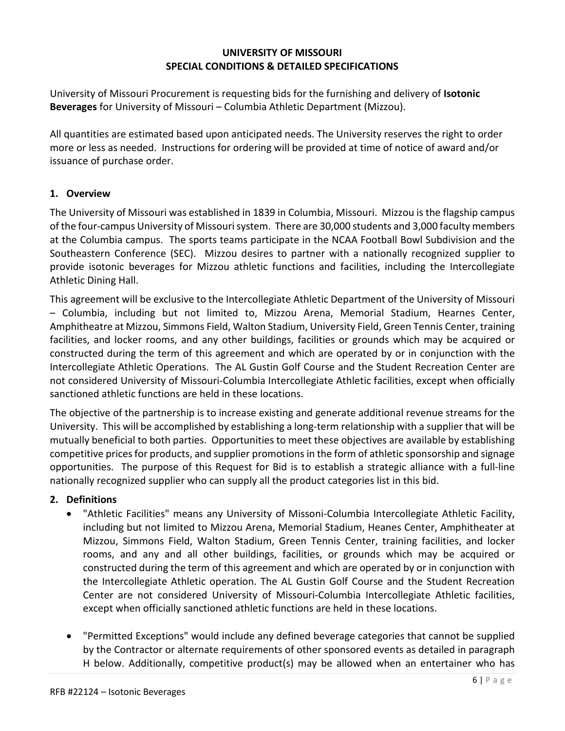#### **UNIVERSITY OF MISSOURI SPECIAL CONDITIONS & DETAILED SPECIFICATIONS**

University of Missouri Procurement is requesting bids for the furnishing and delivery of **Isotonic Beverages** for University of Missouri – Columbia Athletic Department (Mizzou).

All quantities are estimated based upon anticipated needs. The University reserves the right to order more or less as needed. Instructions for ordering will be provided at time of notice of award and/or issuance of purchase order.

#### **1. Overview**

The University of Missouri was established in 1839 in Columbia, Missouri. Mizzou is the flagship campus of the four-campus University of Missouri system. There are 30,000 students and 3,000 faculty members at the Columbia campus. The sports teams participate in the NCAA Football Bowl Subdivision and the Southeastern Conference (SEC). Mizzou desires to partner with a nationally recognized supplier to provide isotonic beverages for Mizzou athletic functions and facilities, including the Intercollegiate Athletic Dining Hall.

This agreement will be exclusive to the Intercollegiate Athletic Department of the University of Missouri – Columbia, including but not limited to, Mizzou Arena, Memorial Stadium, Hearnes Center, Amphitheatre at Mizzou, Simmons Field, Walton Stadium, University Field, Green Tennis Center, training facilities, and locker rooms, and any other buildings, facilities or grounds which may be acquired or constructed during the term of this agreement and which are operated by or in conjunction with the Intercollegiate Athletic Operations. The AL Gustin Golf Course and the Student Recreation Center are not considered University of Missouri-Columbia Intercollegiate Athletic facilities, except when officially sanctioned athletic functions are held in these locations.

The objective of the partnership is to increase existing and generate additional revenue streams for the University. This will be accomplished by establishing a long-term relationship with a supplier that will be mutually beneficial to both parties. Opportunities to meet these objectives are available by establishing competitive prices for products, and supplier promotions in the form of athletic sponsorship and signage opportunities. The purpose of this Request for Bid is to establish a strategic alliance with a full-line nationally recognized supplier who can supply all the product categories list in this bid.

#### **2. Definitions**

- "Athletic Facilities" means any University of Missoni-Columbia Intercollegiate Athletic Facility, including but not limited to Mizzou Arena, Memorial Stadium, Heanes Center, Amphitheater at Mizzou, Simmons Field, Walton Stadium, Green Tennis Center, training facilities, and locker rooms, and any and all other buildings, facilities, or grounds which may be acquired or constructed during the term of this agreement and which are operated by or in conjunction with the Intercollegiate Athletic operation. The AL Gustin Golf Course and the Student Recreation Center are not considered University of Missouri-Columbia Intercollegiate Athletic facilities, except when officially sanctioned athletic functions are held in these locations.
- "Permitted Exceptions" would include any defined beverage categories that cannot be supplied by the Contractor or alternate requirements of other sponsored events as detailed in paragraph H below. Additionally, competitive product(s) may be allowed when an entertainer who has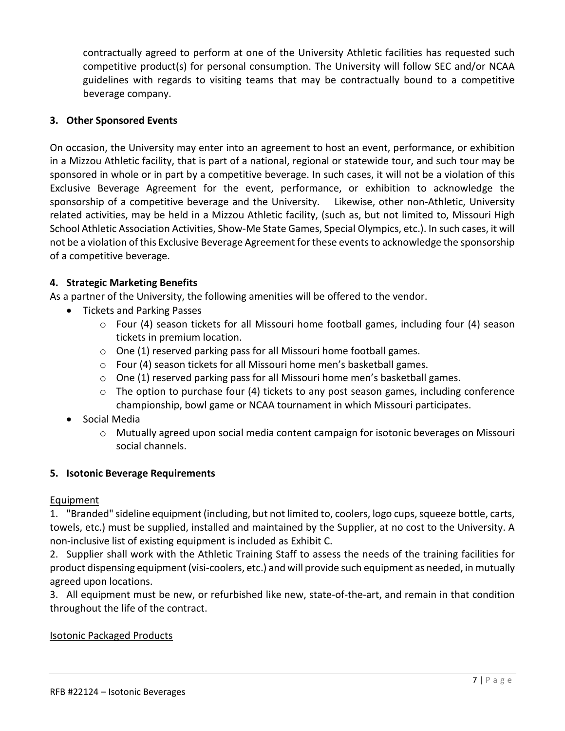contractually agreed to perform at one of the University Athletic facilities has requested such competitive product(s) for personal consumption. The University will follow SEC and/or NCAA guidelines with regards to visiting teams that may be contractually bound to a competitive beverage company.

#### **3. Other Sponsored Events**

On occasion, the University may enter into an agreement to host an event, performance, or exhibition in a Mizzou Athletic facility, that is part of a national, regional or statewide tour, and such tour may be sponsored in whole or in part by a competitive beverage. In such cases, it will not be a violation of this Exclusive Beverage Agreement for the event, performance, or exhibition to acknowledge the sponsorship of a competitive beverage and the University. Likewise, other non-Athletic, University related activities, may be held in a Mizzou Athletic facility, (such as, but not limited to, Missouri High School Athletic Association Activities, Show-Me State Games, Special Olympics, etc.). In such cases, it will not be a violation of this Exclusive Beverage Agreement for these events to acknowledge the sponsorship of a competitive beverage.

#### **4. Strategic Marketing Benefits**

As a partner of the University, the following amenities will be offered to the vendor.

- Tickets and Parking Passes
	- $\circ$  Four (4) season tickets for all Missouri home football games, including four (4) season tickets in premium location.
	- o One (1) reserved parking pass for all Missouri home football games.
	- o Four (4) season tickets for all Missouri home men's basketball games.
	- $\circ$  One (1) reserved parking pass for all Missouri home men's basketball games.
	- $\circ$  The option to purchase four (4) tickets to any post season games, including conference championship, bowl game or NCAA tournament in which Missouri participates.
- Social Media
	- $\circ$  Mutually agreed upon social media content campaign for isotonic beverages on Missouri social channels.

#### **5. Isotonic Beverage Requirements**

#### Equipment

1. "Branded" sideline equipment (including, but not limited to, coolers, logo cups, squeeze bottle, carts, towels, etc.) must be supplied, installed and maintained by the Supplier, at no cost to the University. A non-inclusive list of existing equipment is included as Exhibit C.

2. Supplier shall work with the Athletic Training Staff to assess the needs of the training facilities for product dispensing equipment (visi-coolers, etc.) and will provide such equipment as needed, in mutually agreed upon locations.

3. All equipment must be new, or refurbished like new, state-of-the-art, and remain in that condition throughout the life of the contract.

#### Isotonic Packaged Products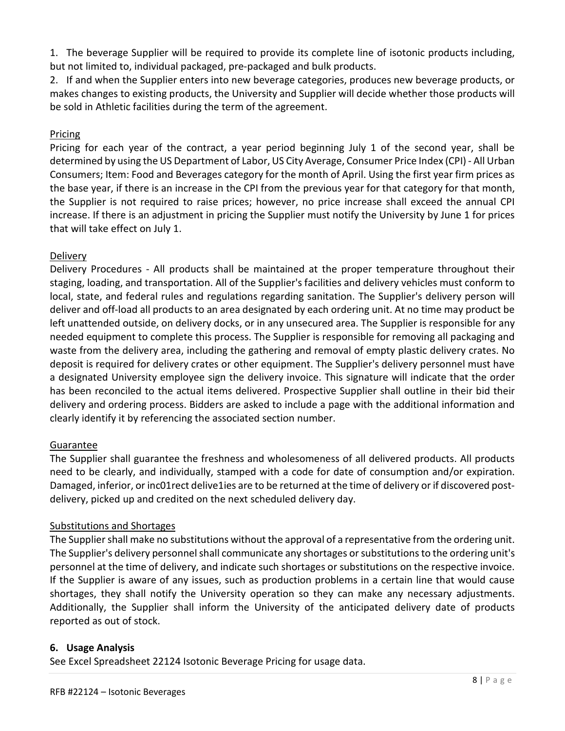1. The beverage Supplier will be required to provide its complete line of isotonic products including, but not limited to, individual packaged, pre-packaged and bulk products.

2. If and when the Supplier enters into new beverage categories, produces new beverage products, or makes changes to existing products, the University and Supplier will decide whether those products will be sold in Athletic facilities during the term of the agreement.

### Pricing

Pricing for each year of the contract, a year period beginning July 1 of the second year, shall be determined by using the US Department of Labor, US City Average, Consumer Price Index (CPI) - All Urban Consumers; Item: Food and Beverages category for the month of April. Using the first year firm prices as the base year, if there is an increase in the CPI from the previous year for that category for that month, the Supplier is not required to raise prices; however, no price increase shall exceed the annual CPI increase. If there is an adjustment in pricing the Supplier must notify the University by June 1 for prices that will take effect on July 1.

## Delivery

Delivery Procedures - All products shall be maintained at the proper temperature throughout their staging, loading, and transportation. All of the Supplier's facilities and delivery vehicles must conform to local, state, and federal rules and regulations regarding sanitation. The Supplier's delivery person will deliver and off-load all products to an area designated by each ordering unit. At no time may product be left unattended outside, on delivery docks, or in any unsecured area. The Supplier is responsible for any needed equipment to complete this process. The Supplier is responsible for removing all packaging and waste from the delivery area, including the gathering and removal of empty plastic delivery crates. No deposit is required for delivery crates or other equipment. The Supplier's delivery personnel must have a designated University employee sign the delivery invoice. This signature will indicate that the order has been reconciled to the actual items delivered. Prospective Supplier shall outline in their bid their delivery and ordering process. Bidders are asked to include a page with the additional information and clearly identify it by referencing the associated section number.

### Guarantee

The Supplier shall guarantee the freshness and wholesomeness of all delivered products. All products need to be clearly, and individually, stamped with a code for date of consumption and/or expiration. Damaged, inferior, or inc01rect delive1ies are to be returned at the time of delivery or if discovered postdelivery, picked up and credited on the next scheduled delivery day.

### Substitutions and Shortages

The Supplier shall make no substitutions without the approval of a representative from the ordering unit. The Supplier's delivery personnel shall communicate any shortages or substitutions to the ordering unit's personnel at the time of delivery, and indicate such shortages or substitutions on the respective invoice. If the Supplier is aware of any issues, such as production problems in a certain line that would cause shortages, they shall notify the University operation so they can make any necessary adjustments. Additionally, the Supplier shall inform the University of the anticipated delivery date of products reported as out of stock.

### **6. Usage Analysis**

See Excel Spreadsheet 22124 Isotonic Beverage Pricing for usage data.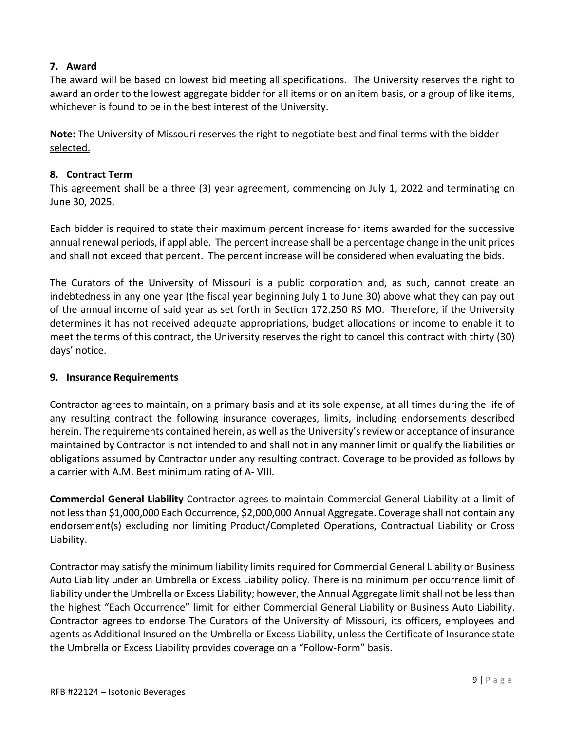### **7. Award**

The award will be based on lowest bid meeting all specifications. The University reserves the right to award an order to the lowest aggregate bidder for all items or on an item basis, or a group of like items, whichever is found to be in the best interest of the University.

**Note:** The University of Missouri reserves the right to negotiate best and final terms with the bidder selected.

#### **8. Contract Term**

This agreement shall be a three (3) year agreement, commencing on July 1, 2022 and terminating on June 30, 2025.

Each bidder is required to state their maximum percent increase for items awarded for the successive annual renewal periods, if appliable. The percent increase shall be a percentage change in the unit prices and shall not exceed that percent. The percent increase will be considered when evaluating the bids.

The Curators of the University of Missouri is a public corporation and, as such, cannot create an indebtedness in any one year (the fiscal year beginning July 1 to June 30) above what they can pay out of the annual income of said year as set forth in Section 172.250 RS MO. Therefore, if the University determines it has not received adequate appropriations, budget allocations or income to enable it to meet the terms of this contract, the University reserves the right to cancel this contract with thirty (30) days' notice.

#### **9. Insurance Requirements**

Contractor agrees to maintain, on a primary basis and at its sole expense, at all times during the life of any resulting contract the following insurance coverages, limits, including endorsements described herein. The requirements contained herein, as well as the University's review or acceptance of insurance maintained by Contractor is not intended to and shall not in any manner limit or qualify the liabilities or obligations assumed by Contractor under any resulting contract. Coverage to be provided as follows by a carrier with A.M. Best minimum rating of A- VIII.

**Commercial General Liability** Contractor agrees to maintain Commercial General Liability at a limit of not less than \$1,000,000 Each Occurrence, \$2,000,000 Annual Aggregate. Coverage shall not contain any endorsement(s) excluding nor limiting Product/Completed Operations, Contractual Liability or Cross Liability.

Contractor may satisfy the minimum liability limits required for Commercial General Liability or Business Auto Liability under an Umbrella or Excess Liability policy. There is no minimum per occurrence limit of liability under the Umbrella or Excess Liability; however, the Annual Aggregate limit shall not be less than the highest "Each Occurrence" limit for either Commercial General Liability or Business Auto Liability. Contractor agrees to endorse The Curators of the University of Missouri, its officers, employees and agents as Additional Insured on the Umbrella or Excess Liability, unless the Certificate of Insurance state the Umbrella or Excess Liability provides coverage on a "Follow-Form" basis.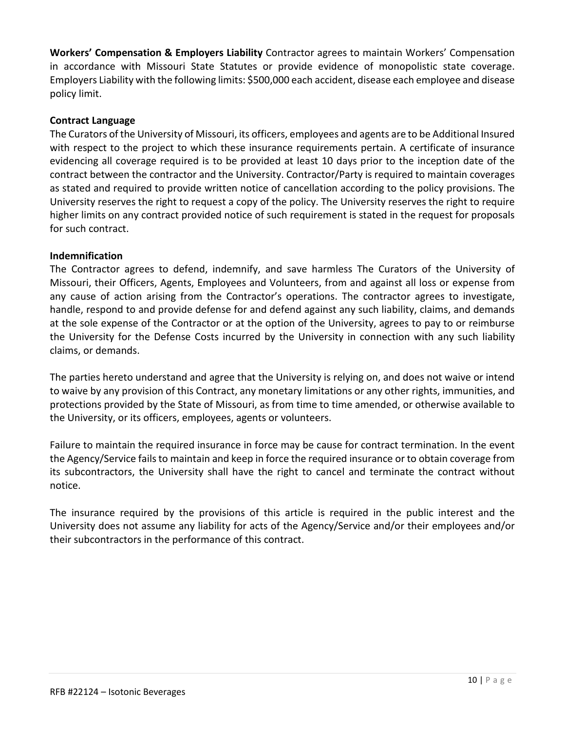**Workers' Compensation & Employers Liability** Contractor agrees to maintain Workers' Compensation in accordance with Missouri State Statutes or provide evidence of monopolistic state coverage. Employers Liability with the following limits: \$500,000 each accident, disease each employee and disease policy limit.

#### **Contract Language**

The Curators of the University of Missouri, its officers, employees and agents are to be Additional Insured with respect to the project to which these insurance requirements pertain. A certificate of insurance evidencing all coverage required is to be provided at least 10 days prior to the inception date of the contract between the contractor and the University. Contractor/Party is required to maintain coverages as stated and required to provide written notice of cancellation according to the policy provisions. The University reserves the right to request a copy of the policy. The University reserves the right to require higher limits on any contract provided notice of such requirement is stated in the request for proposals for such contract.

#### **Indemnification**

The Contractor agrees to defend, indemnify, and save harmless The Curators of the University of Missouri, their Officers, Agents, Employees and Volunteers, from and against all loss or expense from any cause of action arising from the Contractor's operations. The contractor agrees to investigate, handle, respond to and provide defense for and defend against any such liability, claims, and demands at the sole expense of the Contractor or at the option of the University, agrees to pay to or reimburse the University for the Defense Costs incurred by the University in connection with any such liability claims, or demands.

The parties hereto understand and agree that the University is relying on, and does not waive or intend to waive by any provision of this Contract, any monetary limitations or any other rights, immunities, and protections provided by the State of Missouri, as from time to time amended, or otherwise available to the University, or its officers, employees, agents or volunteers.

Failure to maintain the required insurance in force may be cause for contract termination. In the event the Agency/Service fails to maintain and keep in force the required insurance or to obtain coverage from its subcontractors, the University shall have the right to cancel and terminate the contract without notice.

The insurance required by the provisions of this article is required in the public interest and the University does not assume any liability for acts of the Agency/Service and/or their employees and/or their subcontractors in the performance of this contract.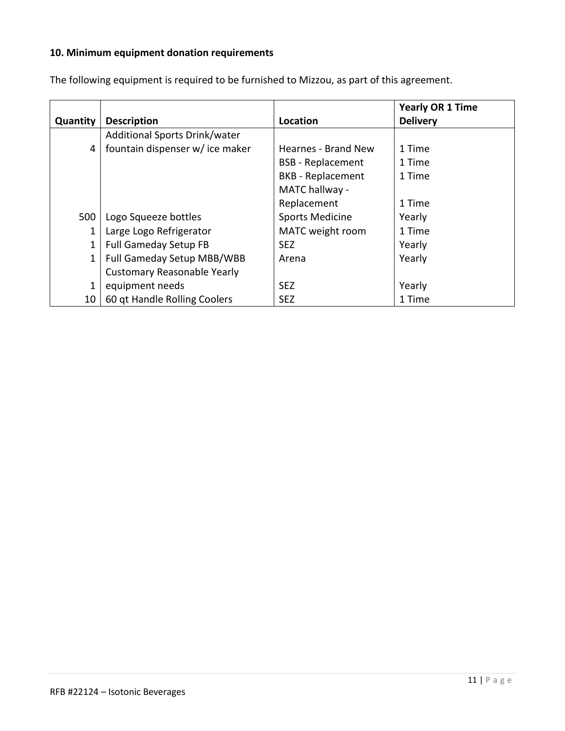# **10. Minimum equipment donation requirements**

|          |                                    |                          | <b>Yearly OR 1 Time</b> |
|----------|------------------------------------|--------------------------|-------------------------|
| Quantity | <b>Description</b>                 | Location                 | <b>Delivery</b>         |
|          | Additional Sports Drink/water      |                          |                         |
| 4        | fountain dispenser w/ice maker     | Hearnes - Brand New      | 1 Time                  |
|          |                                    | <b>BSB</b> - Replacement | 1 Time                  |
|          |                                    | <b>BKB</b> - Replacement | 1 Time                  |
|          |                                    | MATC hallway -           |                         |
|          |                                    | Replacement              | 1 Time                  |
| 500      | Logo Squeeze bottles               | <b>Sports Medicine</b>   | Yearly                  |
| 1        | Large Logo Refrigerator            | MATC weight room         | 1 Time                  |
| 1        | <b>Full Gameday Setup FB</b>       | SEZ.                     | Yearly                  |
| 1        | Full Gameday Setup MBB/WBB         | Arena                    | Yearly                  |
|          | <b>Customary Reasonable Yearly</b> |                          |                         |
| 1        | equipment needs                    | <b>SEZ</b>               | Yearly                  |
| 10       | 60 gt Handle Rolling Coolers       | <b>SEZ</b>               | 1 Time                  |

The following equipment is required to be furnished to Mizzou, as part of this agreement.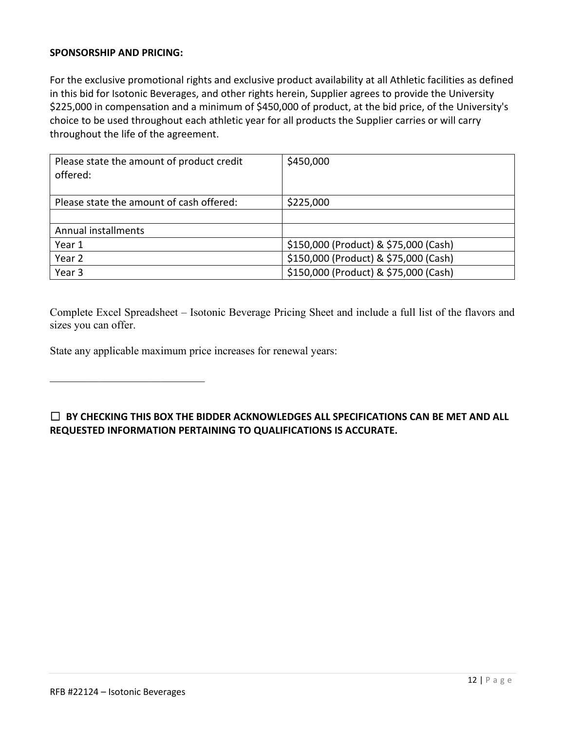#### **SPONSORSHIP AND PRICING:**

For the exclusive promotional rights and exclusive product availability at all Athletic facilities as defined in this bid for Isotonic Beverages, and other rights herein, Supplier agrees to provide the University \$225,000 in compensation and a minimum of \$450,000 of product, at the bid price, of the University's choice to be used throughout each athletic year for all products the Supplier carries or will carry throughout the life of the agreement.

| Please state the amount of product credit<br>offered: | \$450,000                             |  |
|-------------------------------------------------------|---------------------------------------|--|
| Please state the amount of cash offered:              | \$225,000                             |  |
|                                                       |                                       |  |
| Annual installments                                   |                                       |  |
| Year 1                                                | \$150,000 (Product) & \$75,000 (Cash) |  |
| Year 2                                                | \$150,000 (Product) & \$75,000 (Cash) |  |
| Year 3                                                | \$150,000 (Product) & \$75,000 (Cash) |  |

Complete Excel Spreadsheet – Isotonic Beverage Pricing Sheet and include a full list of the flavors and sizes you can offer.

State any applicable maximum price increases for renewal years:

☐ **BY CHECKING THIS BOX THE BIDDER ACKNOWLEDGES ALL SPECIFICATIONS CAN BE MET AND ALL REQUESTED INFORMATION PERTAINING TO QUALIFICATIONS IS ACCURATE.**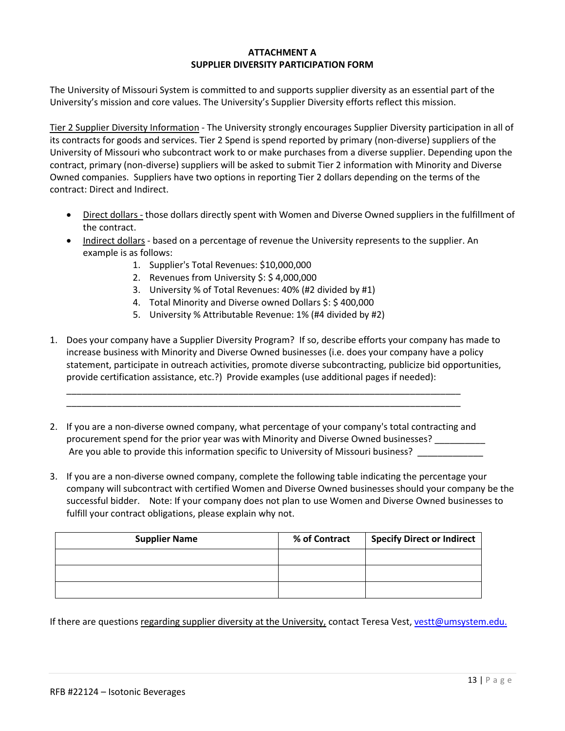#### **ATTACHMENT A SUPPLIER DIVERSITY PARTICIPATION FORM**

The University of Missouri System is committed to and supports supplier diversity as an essential part of the University's mission and core values. The University's Supplier Diversity efforts reflect this mission.

Tier 2 Supplier Diversity Information - The University strongly encourages Supplier Diversity participation in all of its contracts for goods and services. Tier 2 Spend is spend reported by primary (non-diverse) suppliers of the University of Missouri who subcontract work to or make purchases from a diverse supplier. Depending upon the contract, primary (non-diverse) suppliers will be asked to submit Tier 2 information with Minority and Diverse Owned companies. Suppliers have two options in reporting Tier 2 dollars depending on the terms of the contract: Direct and Indirect.

- Direct dollars those dollars directly spent with Women and Diverse Owned suppliers in the fulfillment of the contract.
- Indirect dollars based on a percentage of revenue the University represents to the supplier. An example is as follows:
	- 1. Supplier's Total Revenues: \$10,000,000
	- 2. Revenues from University \$: \$ 4,000,000
	- 3. University % of Total Revenues: 40% (#2 divided by #1)
	- 4. Total Minority and Diverse owned Dollars \$: \$ 400,000
	- 5. University % Attributable Revenue: 1% (#4 divided by #2)
- 1. Does your company have a Supplier Diversity Program? If so, describe efforts your company has made to increase business with Minority and Diverse Owned businesses (i.e. does your company have a policy statement, participate in outreach activities, promote diverse subcontracting, publicize bid opportunities, provide certification assistance, etc.?) Provide examples (use additional pages if needed):
- 2. If you are a non-diverse owned company, what percentage of your company's total contracting and procurement spend for the prior year was with Minority and Diverse Owned businesses? \_\_\_\_\_\_\_\_\_\_ Are you able to provide this information specific to University of Missouri business?

\_\_\_\_\_\_\_\_\_\_\_\_\_\_\_\_\_\_\_\_\_\_\_\_\_\_\_\_\_\_\_\_\_\_\_\_\_\_\_\_\_\_\_\_\_\_\_\_\_\_\_\_\_\_\_\_\_\_\_\_\_\_\_\_\_\_\_\_\_\_\_\_\_\_\_\_\_\_ \_\_\_\_\_\_\_\_\_\_\_\_\_\_\_\_\_\_\_\_\_\_\_\_\_\_\_\_\_\_\_\_\_\_\_\_\_\_\_\_\_\_\_\_\_\_\_\_\_\_\_\_\_\_\_\_\_\_\_\_\_\_\_\_\_\_\_\_\_\_\_\_\_\_\_\_\_\_

3. If you are a non-diverse owned company, complete the following table indicating the percentage your company will subcontract with certified Women and Diverse Owned businesses should your company be the successful bidder. Note: If your company does not plan to use Women and Diverse Owned businesses to fulfill your contract obligations, please explain why not.

| <b>Supplier Name</b> | % of Contract | <b>Specify Direct or Indirect</b> |
|----------------------|---------------|-----------------------------------|
|                      |               |                                   |
|                      |               |                                   |
|                      |               |                                   |

If there are questions regarding supplier diversity at the University, contact Teresa Vest, [vestt@umsystem.edu.](mailto:vestt@umsystem.edu)